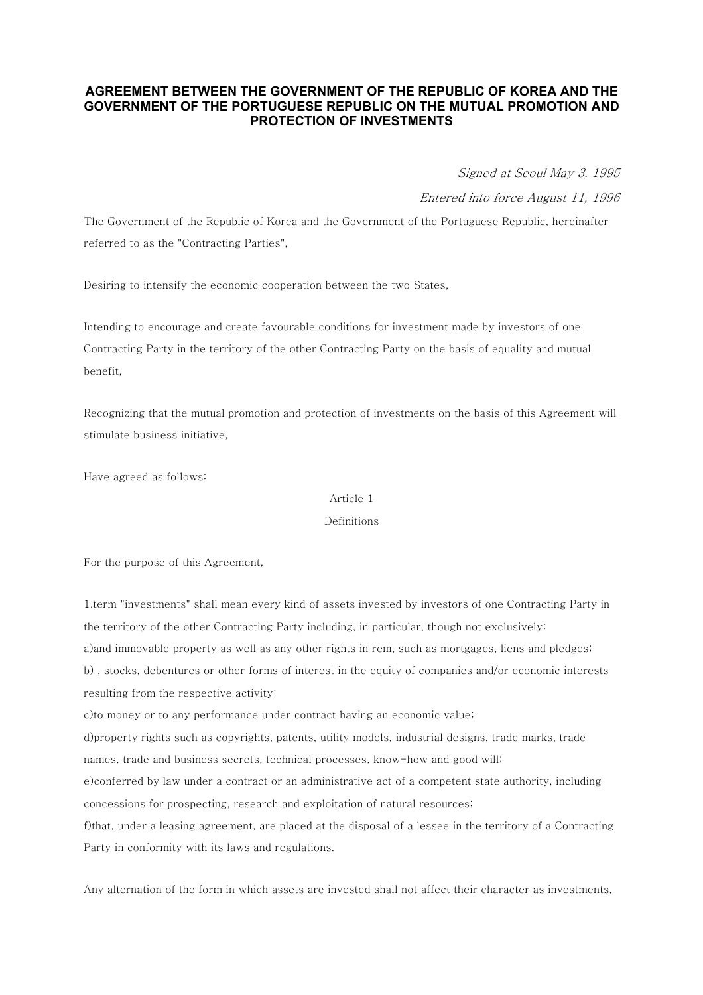# **AGREEMENT BETWEEN THE GOVERNMENT OF THE REPUBLIC OF KOREA AND THE GOVERNMENT OF THE PORTUGUESE REPUBLIC ON THE MUTUAL PROMOTION AND PROTECTION OF INVESTMENTS**

Signed at Seoul May 3, 1995

Entered into force August 11, 1996

The Government of the Republic of Korea and the Government of the Portuguese Republic, hereinafter referred to as the "Contracting Parties",

Desiring to intensify the economic cooperation between the two States,

Intending to encourage and create favourable conditions for investment made by investors of one Contracting Party in the territory of the other Contracting Party on the basis of equality and mutual benefit,

Recognizing that the mutual promotion and protection of investments on the basis of this Agreement will stimulate business initiative,

Have agreed as follows:

# Article 1

### Definitions

For the purpose of this Agreement,

1.term "investments" shall mean every kind of assets invested by investors of one Contracting Party in the territory of the other Contracting Party including, in particular, though not exclusively: a)and immovable property as well as any other rights in rem, such as mortgages, liens and pledges; b) , stocks, debentures or other forms of interest in the equity of companies and/or economic interests resulting from the respective activity; c)to money or to any performance under contract having an economic value; d)property rights such as copyrights, patents, utility models, industrial designs, trade marks, trade names, trade and business secrets, technical processes, know-how and good will;

e)conferred by law under a contract or an administrative act of a competent state authority, including concessions for prospecting, research and exploitation of natural resources;

f)that, under a leasing agreement, are placed at the disposal of a lessee in the territory of a Contracting Party in conformity with its laws and regulations.

Any alternation of the form in which assets are invested shall not affect their character as investments,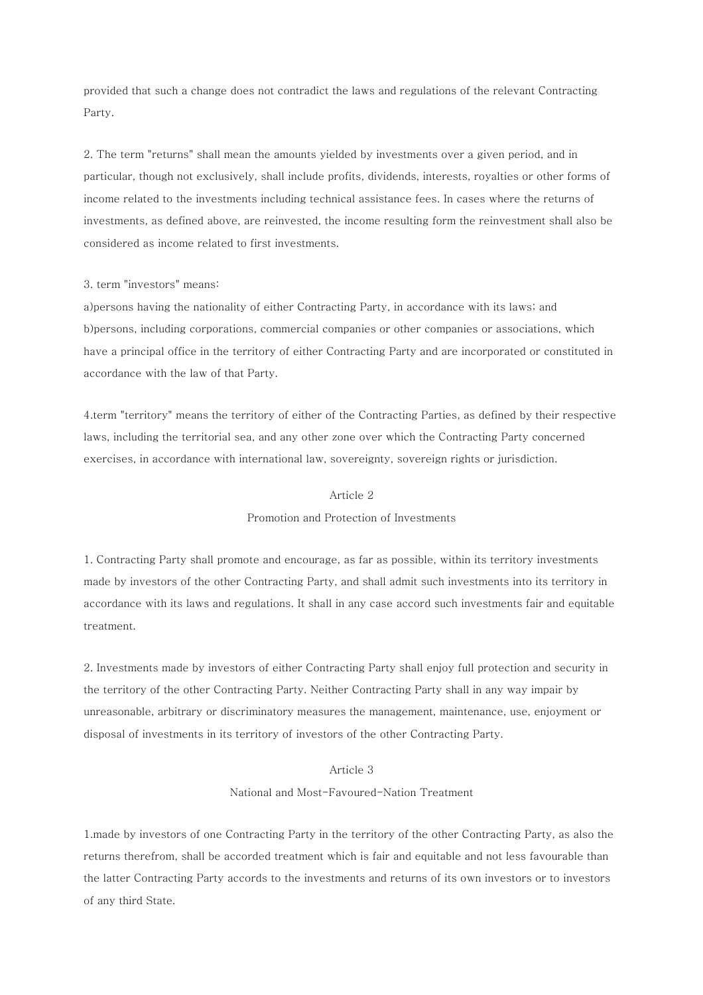provided that such a change does not contradict the laws and regulations of the relevant Contracting Party.

2. The term "returns" shall mean the amounts yielded by investments over a given period, and in particular, though not exclusively, shall include profits, dividends, interests, royalties or other forms of income related to the investments including technical assistance fees. In cases where the returns of investments, as defined above, are reinvested, the income resulting form the reinvestment shall also be considered as income related to first investments.

### 3. term "investors" means:

a)persons having the nationality of either Contracting Party, in accordance with its laws; and b)persons, including corporations, commercial companies or other companies or associations, which have a principal office in the territory of either Contracting Party and are incorporated or constituted in accordance with the law of that Party.

4.term "territory" means the territory of either of the Contracting Parties, as defined by their respective laws, including the territorial sea, and any other zone over which the Contracting Party concerned exercises, in accordance with international law, sovereignty, sovereign rights or jurisdiction.

#### Article 2

## Promotion and Protection of Investments

1. Contracting Party shall promote and encourage, as far as possible, within its territory investments made by investors of the other Contracting Party, and shall admit such investments into its territory in accordance with its laws and regulations. It shall in any case accord such investments fair and equitable treatment.

2. Investments made by investors of either Contracting Party shall enjoy full protection and security in the territory of the other Contracting Party. Neither Contracting Party shall in any way impair by unreasonable, arbitrary or discriminatory measures the management, maintenance, use, enjoyment or disposal of investments in its territory of investors of the other Contracting Party.

# Article 3

## National and Most-Favoured-Nation Treatment

1.made by investors of one Contracting Party in the territory of the other Contracting Party, as also the returns therefrom, shall be accorded treatment which is fair and equitable and not less favourable than the latter Contracting Party accords to the investments and returns of its own investors or to investors of any third State.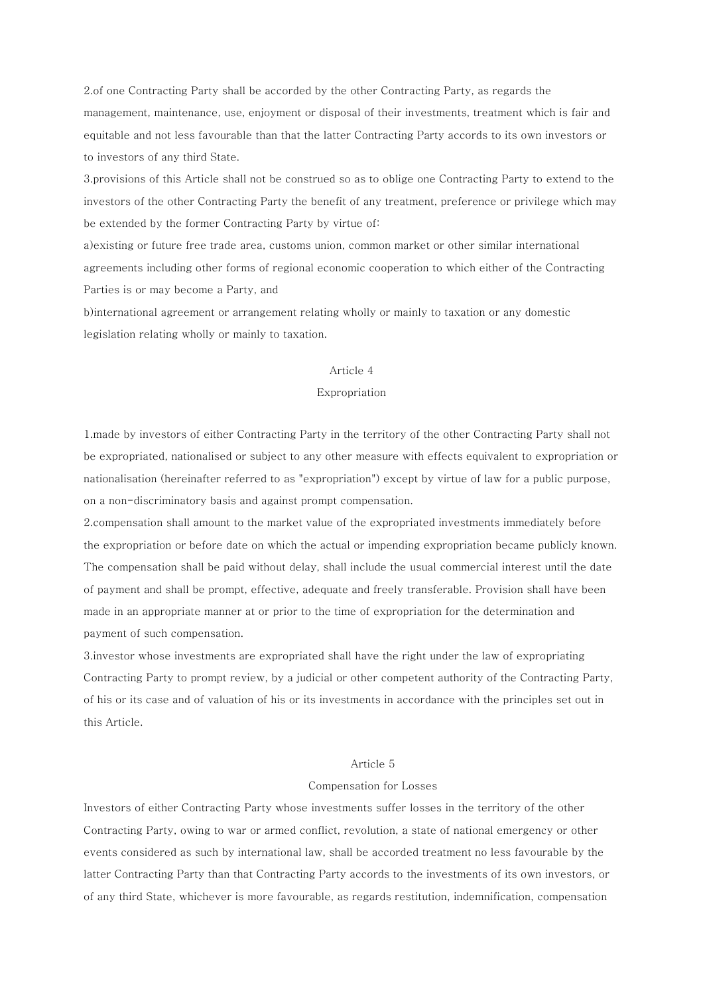2.of one Contracting Party shall be accorded by the other Contracting Party, as regards the management, maintenance, use, enjoyment or disposal of their investments, treatment which is fair and equitable and not less favourable than that the latter Contracting Party accords to its own investors or to investors of any third State.

3.provisions of this Article shall not be construed so as to oblige one Contracting Party to extend to the investors of the other Contracting Party the benefit of any treatment, preference or privilege which may be extended by the former Contracting Party by virtue of:

a)existing or future free trade area, customs union, common market or other similar international agreements including other forms of regional economic cooperation to which either of the Contracting Parties is or may become a Party, and

b)international agreement or arrangement relating wholly or mainly to taxation or any domestic legislation relating wholly or mainly to taxation.

## Article 4

## Expropriation

1.made by investors of either Contracting Party in the territory of the other Contracting Party shall not be expropriated, nationalised or subject to any other measure with effects equivalent to expropriation or nationalisation (hereinafter referred to as "expropriation") except by virtue of law for a public purpose, on a non-discriminatory basis and against prompt compensation.

2.compensation shall amount to the market value of the expropriated investments immediately before the expropriation or before date on which the actual or impending expropriation became publicly known. The compensation shall be paid without delay, shall include the usual commercial interest until the date of payment and shall be prompt, effective, adequate and freely transferable. Provision shall have been made in an appropriate manner at or prior to the time of expropriation for the determination and payment of such compensation.

3.investor whose investments are expropriated shall have the right under the law of expropriating Contracting Party to prompt review, by a judicial or other competent authority of the Contracting Party, of his or its case and of valuation of his or its investments in accordance with the principles set out in this Article.

#### Article 5

#### Compensation for Losses

Investors of either Contracting Party whose investments suffer losses in the territory of the other Contracting Party, owing to war or armed conflict, revolution, a state of national emergency or other events considered as such by international law, shall be accorded treatment no less favourable by the latter Contracting Party than that Contracting Party accords to the investments of its own investors, or of any third State, whichever is more favourable, as regards restitution, indemnification, compensation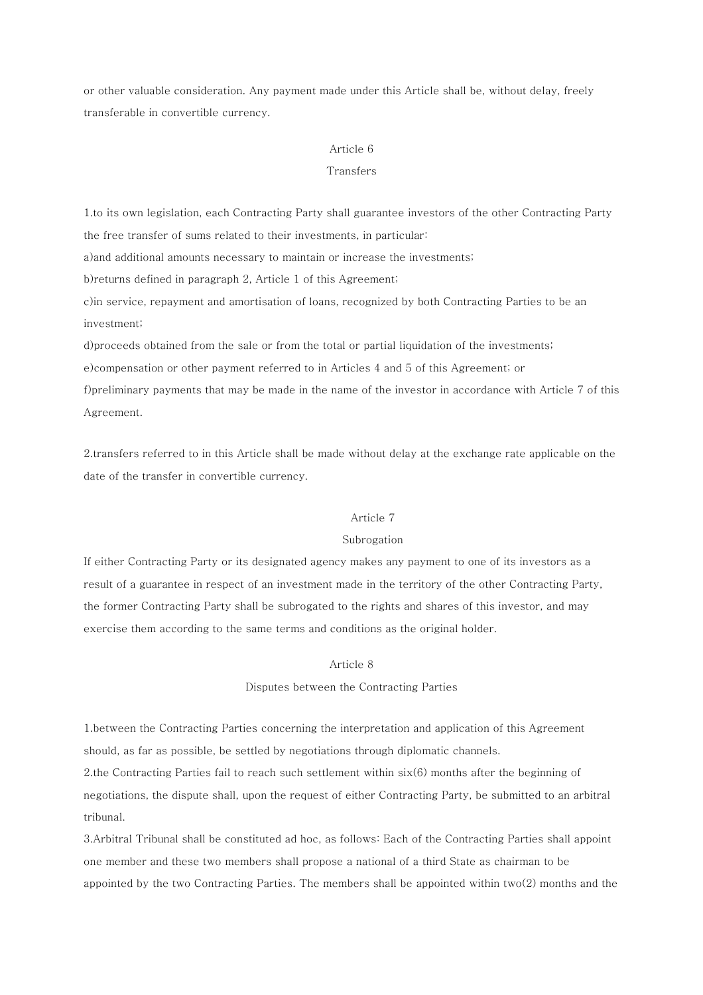or other valuable consideration. Any payment made under this Article shall be, without delay, freely transferable in convertible currency.

#### Article 6

### Transfers

1.to its own legislation, each Contracting Party shall guarantee investors of the other Contracting Party the free transfer of sums related to their investments, in particular:

a)and additional amounts necessary to maintain or increase the investments;

b)returns defined in paragraph 2, Article 1 of this Agreement;

c)in service, repayment and amortisation of loans, recognized by both Contracting Parties to be an investment;

d)proceeds obtained from the sale or from the total or partial liquidation of the investments;

e)compensation or other payment referred to in Articles 4 and 5 of this Agreement; or

f)preliminary payments that may be made in the name of the investor in accordance with Article 7 of this Agreement.

2.transfers referred to in this Article shall be made without delay at the exchange rate applicable on the date of the transfer in convertible currency.

# Article 7

## Subrogation

If either Contracting Party or its designated agency makes any payment to one of its investors as a result of a guarantee in respect of an investment made in the territory of the other Contracting Party, the former Contracting Party shall be subrogated to the rights and shares of this investor, and may exercise them according to the same terms and conditions as the original holder.

# Article 8

# Disputes between the Contracting Parties

1.between the Contracting Parties concerning the interpretation and application of this Agreement should, as far as possible, be settled by negotiations through diplomatic channels.

2.the Contracting Parties fail to reach such settlement within six(6) months after the beginning of negotiations, the dispute shall, upon the request of either Contracting Party, be submitted to an arbitral tribunal.

3.Arbitral Tribunal shall be constituted ad hoc, as follows: Each of the Contracting Parties shall appoint one member and these two members shall propose a national of a third State as chairman to be appointed by the two Contracting Parties. The members shall be appointed within two(2) months and the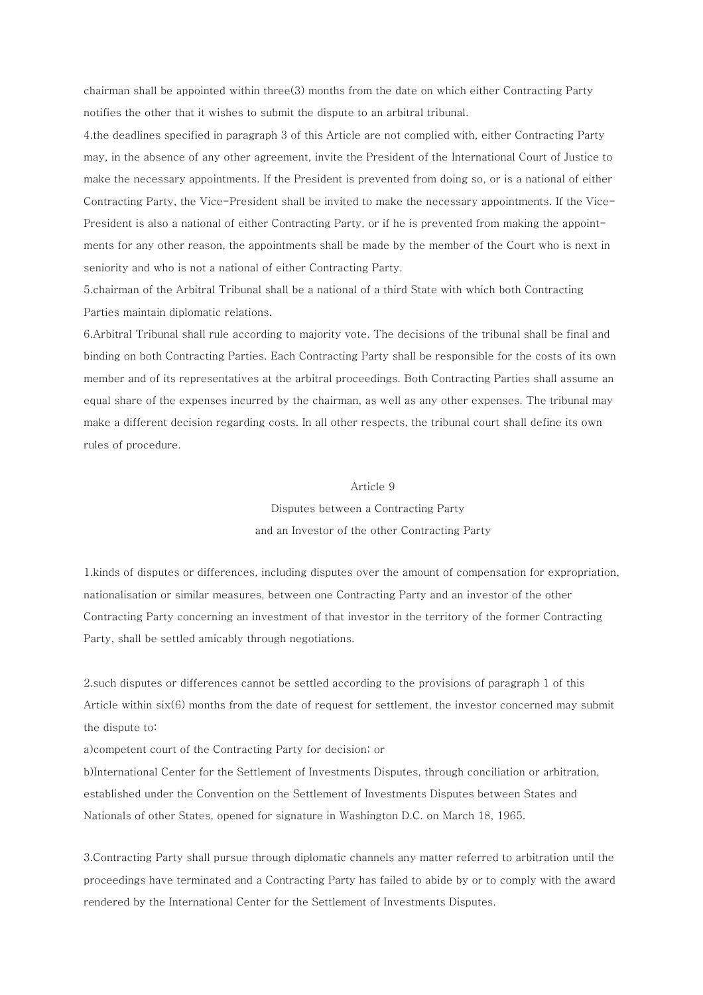chairman shall be appointed within three(3) months from the date on which either Contracting Party notifies the other that it wishes to submit the dispute to an arbitral tribunal.

4.the deadlines specified in paragraph 3 of this Article are not complied with, either Contracting Party may, in the absence of any other agreement, invite the President of the International Court of Justice to make the necessary appointments. If the President is prevented from doing so, or is a national of either Contracting Party, the Vice-President shall be invited to make the necessary appointments. If the Vice-President is also a national of either Contracting Party, or if he is prevented from making the appointments for any other reason, the appointments shall be made by the member of the Court who is next in seniority and who is not a national of either Contracting Party.

5.chairman of the Arbitral Tribunal shall be a national of a third State with which both Contracting Parties maintain diplomatic relations.

6.Arbitral Tribunal shall rule according to majority vote. The decisions of the tribunal shall be final and binding on both Contracting Parties. Each Contracting Party shall be responsible for the costs of its own member and of its representatives at the arbitral proceedings. Both Contracting Parties shall assume an equal share of the expenses incurred by the chairman, as well as any other expenses. The tribunal may make a different decision regarding costs. In all other respects, the tribunal court shall define its own rules of procedure.

## Article 9

 Disputes between a Contracting Party and an Investor of the other Contracting Party

1.kinds of disputes or differences, including disputes over the amount of compensation for expropriation, nationalisation or similar measures, between one Contracting Party and an investor of the other Contracting Party concerning an investment of that investor in the territory of the former Contracting Party, shall be settled amicably through negotiations.

2.such disputes or differences cannot be settled according to the provisions of paragraph 1 of this Article within six(6) months from the date of request for settlement, the investor concerned may submit the dispute to:

a)competent court of the Contracting Party for decision; or

b)International Center for the Settlement of Investments Disputes, through conciliation or arbitration, established under the Convention on the Settlement of Investments Disputes between States and Nationals of other States, opened for signature in Washington D.C. on March 18, 1965.

3.Contracting Party shall pursue through diplomatic channels any matter referred to arbitration until the proceedings have terminated and a Contracting Party has failed to abide by or to comply with the award rendered by the International Center for the Settlement of Investments Disputes.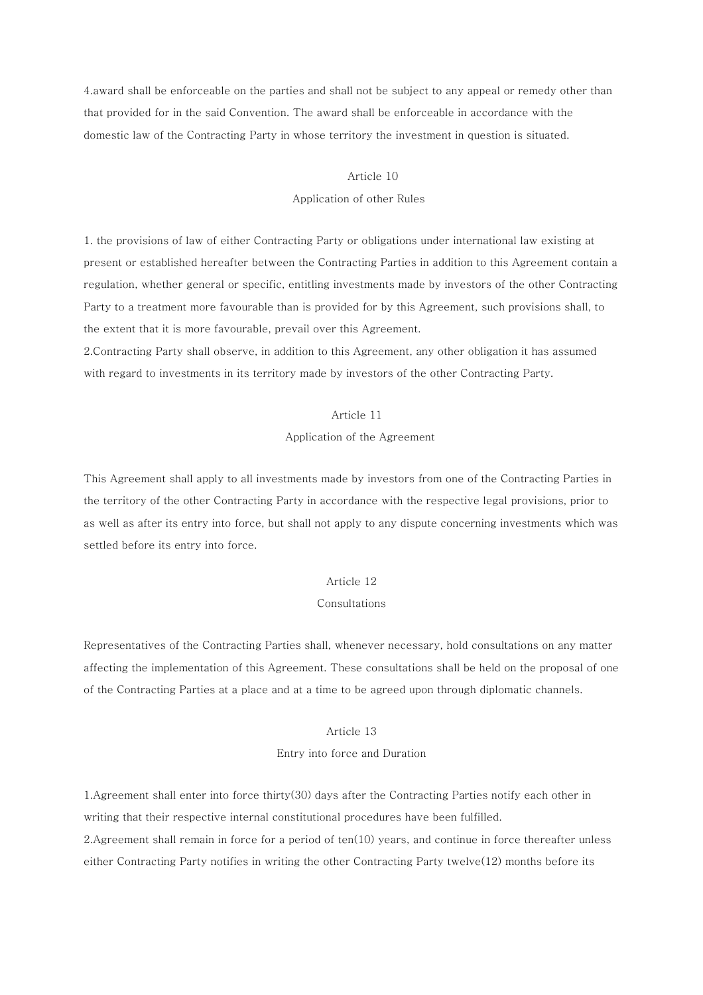4.award shall be enforceable on the parties and shall not be subject to any appeal or remedy other than that provided for in the said Convention. The award shall be enforceable in accordance with the domestic law of the Contracting Party in whose territory the investment in question is situated.

### Article 10

#### Application of other Rules

1. the provisions of law of either Contracting Party or obligations under international law existing at present or established hereafter between the Contracting Parties in addition to this Agreement contain a regulation, whether general or specific, entitling investments made by investors of the other Contracting Party to a treatment more favourable than is provided for by this Agreement, such provisions shall, to the extent that it is more favourable, prevail over this Agreement.

2.Contracting Party shall observe, in addition to this Agreement, any other obligation it has assumed with regard to investments in its territory made by investors of the other Contracting Party.

#### Article 11

## Application of the Agreement

This Agreement shall apply to all investments made by investors from one of the Contracting Parties in the territory of the other Contracting Party in accordance with the respective legal provisions, prior to as well as after its entry into force, but shall not apply to any dispute concerning investments which was settled before its entry into force.

## Article 12

## Consultations

Representatives of the Contracting Parties shall, whenever necessary, hold consultations on any matter affecting the implementation of this Agreement. These consultations shall be held on the proposal of one of the Contracting Parties at a place and at a time to be agreed upon through diplomatic channels.

# Article 13

### Entry into force and Duration

1.Agreement shall enter into force thirty(30) days after the Contracting Parties notify each other in writing that their respective internal constitutional procedures have been fulfilled. 2.Agreement shall remain in force for a period of ten(10) years, and continue in force thereafter unless either Contracting Party notifies in writing the other Contracting Party twelve(12) months before its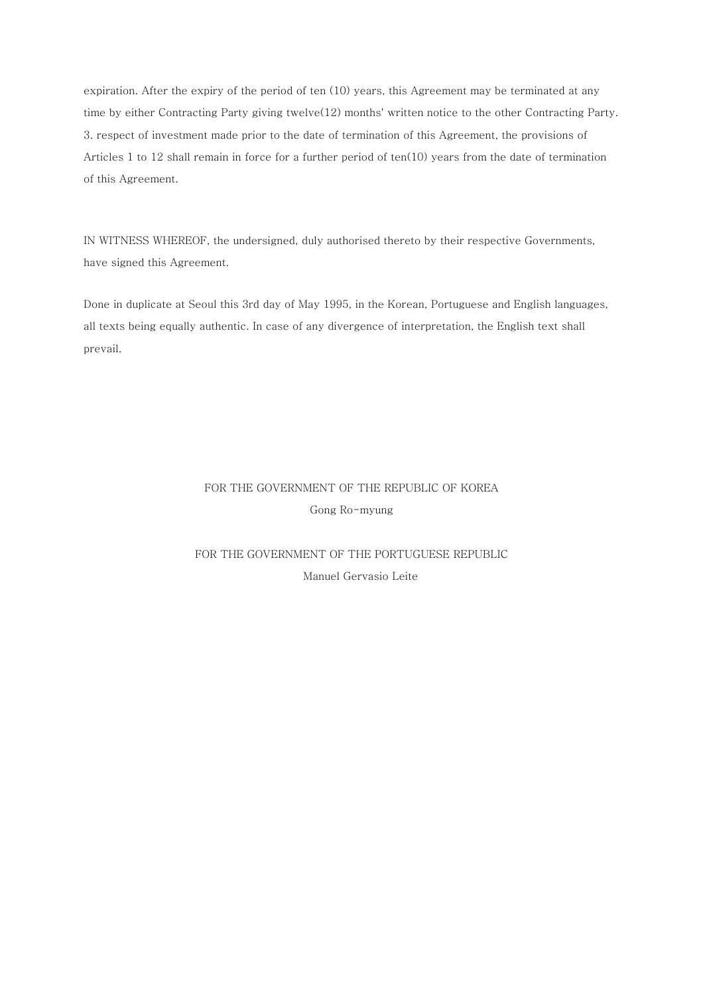expiration. After the expiry of the period of ten (10) years, this Agreement may be terminated at any time by either Contracting Party giving twelve(12) months' written notice to the other Contracting Party. 3. respect of investment made prior to the date of termination of this Agreement, the provisions of Articles 1 to 12 shall remain in force for a further period of ten(10) years from the date of termination of this Agreement.

IN WITNESS WHEREOF, the undersigned, duly authorised thereto by their respective Governments, have signed this Agreement.

Done in duplicate at Seoul this 3rd day of May 1995, in the Korean, Portuguese and English languages, all texts being equally authentic. In case of any divergence of interpretation, the English text shall prevail.

# FOR THE GOVERNMENT OF THE REPUBLIC OF KOREA Gong Ro-myung

# FOR THE GOVERNMENT OF THE PORTUGUESE REPUBLIC Manuel Gervasio Leite